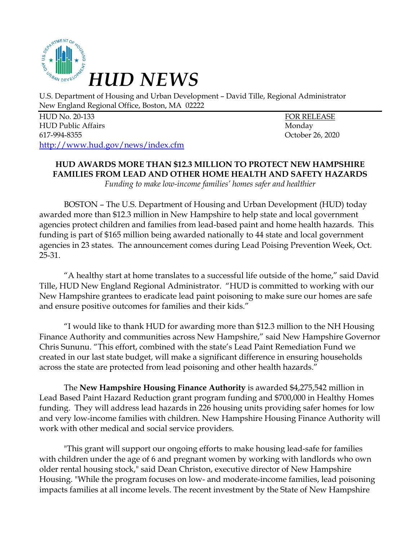

U.S. Department of Housing and Urban Development – David Tille, Regional Administrator New England Regional Office, Boston, MA 02222

HUD No. 20-133 FOR RELEASE HUD Public Affairs Monday 617-994-8355 October 26, 2020 http://www.hud.gov/news/index.cfm

## **HUD AWARDS MORE THAN \$12.3 MILLION TO PROTECT NEW HAMPSHIRE FAMILIES FROM LEAD AND OTHER HOME HEALTH AND SAFETY HAZARDS**

*Funding to make low-income families' homes safer and healthier*

BOSTON – The U.S. Department of Housing and Urban Development (HUD) today awarded more than \$12.3 million in New Hampshire to help state and local government agencies protect children and families from lead-based paint and home health hazards. This funding is part of \$165 million being awarded nationally to 44 state and local government agencies in 23 states. The announcement comes during Lead Poising Prevention Week, Oct. 25-31.

"A healthy start at home translates to a successful life outside of the home," said David Tille, HUD New England Regional Administrator. "HUD is committed to working with our New Hampshire grantees to eradicate lead paint poisoning to make sure our homes are safe and ensure positive outcomes for families and their kids."

"I would like to thank HUD for awarding more than \$12.3 million to the NH Housing Finance Authority and communities across New Hampshire," said New Hampshire Governor Chris Sununu. "This effort, combined with the state's Lead Paint Remediation Fund we created in our last state budget, will make a significant difference in ensuring households across the state are protected from lead poisoning and other health hazards."

The **New Hampshire Housing Finance Authority** is awarded \$4,275,542 million in Lead Based Paint Hazard Reduction grant program funding and \$700,000 in Healthy Homes funding. They will address lead hazards in 226 housing units providing safer homes for low and very low-income families with children. New Hampshire Housing Finance Authority will work with other medical and social service providers.

"This grant will support our ongoing efforts to make housing lead-safe for families with children under the age of 6 and pregnant women by working with landlords who own older rental housing stock," said Dean Christon, executive director of New Hampshire Housing. "While the program focuses on low- and moderate-income families, lead poisoning impacts families at all income levels. The recent investment by the State of New Hampshire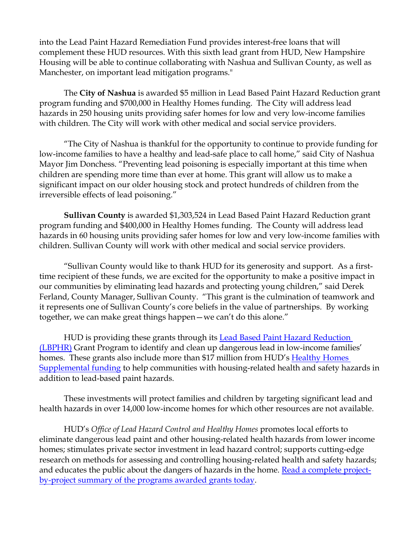into the Lead Paint Hazard Remediation Fund provides interest-free loans that will complement these HUD resources. With this sixth lead grant from HUD, New Hampshire Housing will be able to continue collaborating with Nashua and Sullivan County, as well as Manchester, on important lead mitigation programs."

The **City of Nashua** is awarded \$5 million in Lead Based Paint Hazard Reduction grant program funding and \$700,000 in Healthy Homes funding. The City will address lead hazards in 250 housing units providing safer homes for low and very low-income families with children. The City will work with other medical and social service providers.

"The City of Nashua is thankful for the opportunity to continue to provide funding for low-income families to have a healthy and lead-safe place to call home," said City of Nashua Mayor Jim Donchess. "Preventing lead poisoning is especially important at this time when children are spending more time than ever at home. This grant will allow us to make a significant impact on our older housing stock and protect hundreds of children from the irreversible effects of lead poisoning."

**Sullivan County** is awarded \$1,303,524 in Lead Based Paint Hazard Reduction grant program funding and \$400,000 in Healthy Homes funding. The County will address lead hazards in 60 housing units providing safer homes for low and very low-income families with children. Sullivan County will work with other medical and social service providers.

"Sullivan County would like to thank HUD for its generosity and support. As a firsttime recipient of these funds, we are excited for the opportunity to make a positive impact in our communities by eliminating lead hazards and protecting young children," said Derek Ferland, County Manager, Sullivan County. "This grant is the culmination of teamwork and it represents one of Sullivan County's core beliefs in the value of partnerships. By working together, we can make great things happen—we can't do this alone."

HUD is providing these grants through its [Lead Based Paint Hazard Reduction](https://www.hud.gov/program_offices/healthy_homes/lbp/lhc)  [\(LBPHR\)](https://www.hud.gov/program_offices/healthy_homes/lbp/lhc) Grant Program to identify and clean up dangerous lead in low-income families' homes. These grants also include more than \$17 million from HUD's [Healthy Homes](https://www.hud.gov/program_offices/healthy_homes/healthyhomes)  [Supplemental funding](https://www.hud.gov/program_offices/healthy_homes/healthyhomes) to help communities with housing-related health and safety hazards in addition to lead-based paint hazards.

These investments will protect families and children by targeting significant lead and health hazards in over 14,000 low-income homes for which other resources are not available.

HUD's *Office of Lead Hazard Control and Healthy Homes* promotes local efforts to eliminate dangerous lead paint and other housing-related health hazards from lower income homes; stimulates private sector investment in lead hazard control; supports cutting-edge research on methods for assessing and controlling housing-related health and safety hazards; and educates the public about the dangers of hazards in the home. [Read a complete project](https://www.hud.gov/sites/dfiles/PA/documents/ProjectSummary_LBPHC_LHRD_Applicants2020.pdf)[by-project summary of the programs awarded grants today.](https://www.hud.gov/sites/dfiles/PA/documents/ProjectSummary_LBPHC_LHRD_Applicants2020.pdf)